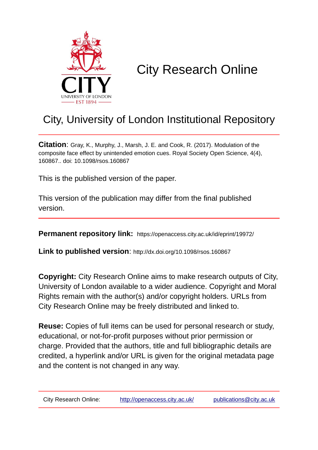

# City Research Online

# City, University of London Institutional Repository

**Citation**: Gray, K., Murphy, J., Marsh, J. E. and Cook, R. (2017). Modulation of the composite face effect by unintended emotion cues. Royal Society Open Science, 4(4), 160867.. doi: 10.1098/rsos.160867

This is the published version of the paper.

This version of the publication may differ from the final published version.

**Permanent repository link:** https://openaccess.city.ac.uk/id/eprint/19972/

**Link to published version**: http://dx.doi.org/10.1098/rsos.160867

**Copyright:** City Research Online aims to make research outputs of City, University of London available to a wider audience. Copyright and Moral Rights remain with the author(s) and/or copyright holders. URLs from City Research Online may be freely distributed and linked to.

**Reuse:** Copies of full items can be used for personal research or study, educational, or not-for-profit purposes without prior permission or charge. Provided that the authors, title and full bibliographic details are credited, a hyperlink and/or URL is given for the original metadata page and the content is not changed in any way.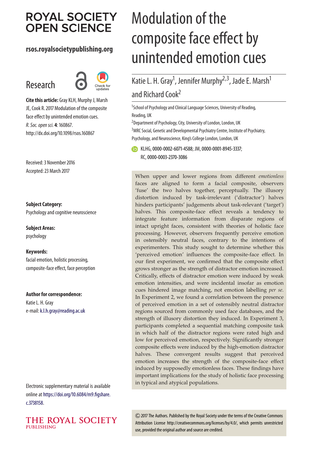# **ROYAL SOCIETY OPEN SCIENCE**

## **rsos.royalsocietypublishing.org**

# Research



**Cite this article:** Gray KLH, Murphy J, Marsh JE, Cook R. 2017 Modulation of the composite face effect by unintended emotion cues. *R. Soc. open sci.* **4**: 160867. http://dx.doi.org/10.1098/rsos.160867

Received: 3 November 2016 Accepted: 23 March 2017

#### **Subject Category:**

Psychology and cognitive neuroscience

**Subject Areas:** psychology

#### **Keywords:**

facial emotion, holistic processing, composite-face effect, face perception

#### **Author for correspondence:**

Katie L. H. Gray e-mail:[k.l.h.gray@reading.ac.uk](mailto:k.l.h.gray@reading.ac.uk)

Electronic supplementary material is available online at [https://doi.org/10.6084/m9.figshare.](https://doi.org/10.6084/m9.figshare.c.3738158) [c.3738158.](https://doi.org/10.6084/m9.figshare.c.3738158)



# Modulation of the composite face effect by unintended emotion cues

Katie L. H. Gray<sup>1</sup>, Jennifer Murphy<sup>2,3</sup>, Jade E. Marsh<sup>1</sup> and Richard Cook<sup>2</sup>

<sup>1</sup>School of Psychology and Clinical Language Sciences, University of Reading, Reading, UK

<sup>2</sup> Department of Psychology, City, University of London, London, UK

<sup>3</sup> MRC Social, Genetic and Developmental Psychiatry Centre, Institute of Psychiatry, Psychology, and Neuroscience, King's College London, London, UK

**ID** KLHG, [0000-0002-6071-4588;](http://orcid.org/0000-0002-6071-4588) JM, [0000-0001-8945-3337;](http://orcid.org/0000-0001-8945-3337) RC,[0000-0003-2370-3086](http://orcid.org/0000-0003-2370-3086)

When upper and lower regions from different *emotionless* faces are aligned to form a facial composite, observers 'fuse' the two halves together, perceptually. The illusory distortion induced by task-irrelevant ('distractor') halves hinders participants' judgements about task-relevant ('target') halves. This composite-face effect reveals a tendency to integrate feature information from disparate regions of intact upright faces, consistent with theories of holistic face processing. However, observers frequently perceive emotion in ostensibly neutral faces, contrary to the intentions of experimenters. This study sought to determine whether this 'perceived emotion' influences the composite-face effect. In our first experiment, we confirmed that the composite effect grows stronger as the strength of distractor emotion increased. Critically, effects of distractor emotion were induced by weak emotion intensities, and were incidental insofar as emotion cues hindered image matching, not emotion labelling *per se*. In Experiment 2, we found a correlation between the presence of perceived emotion in a set of ostensibly neutral distractor regions sourced from commonly used face databases, and the strength of illusory distortion they induced. In Experiment 3, participants completed a sequential matching composite task in which half of the distractor regions were rated high and low for perceived emotion, respectively. Significantly stronger composite effects were induced by the high-emotion distractor halves. These convergent results suggest that perceived emotion increases the strength of the composite-face effect induced by supposedly emotionless faces. These findings have important implications for the study of holistic face processing in typical and atypical populations.

2017 The Authors. Published by the Royal Society under the terms of the Creative Commons Attribution License http://creativecommons.org/licenses/by/4.0/, which permits unrestricted use, provided the original author and source are credited.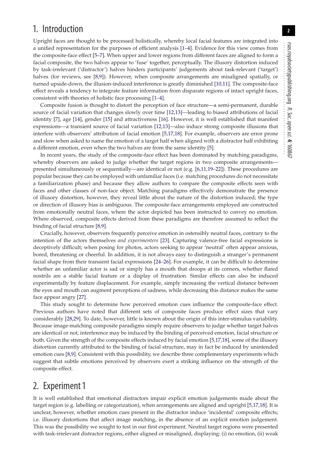# 1. Introduction

Upright faces are thought to be processed holistically, whereby local facial features are integrated into a unified representation for the purposes of efficient analysis [\[1–](#page-12-0)[4\]](#page-12-1). Evidence for this view comes from the composite-face effect [\[5–](#page-12-2)[7\]](#page-12-3). When upper and lower regions from different faces are aligned to form a facial composite, the two halves appear to 'fuse' together, perceptually. The illusory distortion induced by task-irrelevant ('distractor') halves hinders participants' judgements about task-relevant ('target') halves (for reviews, see [\[8](#page-12-4)[,9\]](#page-12-5)). However, when composite arrangements are misaligned spatially, or turned upside-down, the illusion-induced interference is greatly diminished [\[10,](#page-12-6)[11\]](#page-12-7). The composite-face effect reveals a tendency to integrate feature information from disparate regions of intact upright faces, consistent with theories of holistic face processing [\[1–](#page-12-0)[4\]](#page-12-1).

Composite fusion is thought to distort the perception of face structure—a semi-permanent, durable source of facial variation that changes slowly over time [\[12,](#page-12-8)[13\]](#page-12-9)—leading to biased attributions of facial identity [\[7\]](#page-12-3), age [\[14\]](#page-12-10), gender [\[15\]](#page-12-11) and attractiveness [\[16\]](#page-12-12). However, it is well established that manifest expressions—a transient source of facial variation [\[12](#page-12-8)[,13\]](#page-12-9)—also induce strong composite illusions that interfere with observers' attribution of facial emotion [\[5,](#page-12-2)[17](#page-12-13)[,18\]](#page-12-14). For example, observers are error prone and slow when asked to name the emotion of a target half when aligned with a distractor half exhibiting a different emotion, even when the two halves are from the same identity [\[5\]](#page-12-2).

In recent years, the study of the composite-face effect has been dominated by matching paradigms, whereby observers are asked to judge whether the target regions in two composite arrangements presented simultaneously or sequentially—are identical or not (e.g. [\[6](#page-12-15)[,11,](#page-12-7)[19–](#page-12-16)[22\]](#page-12-17)). These procedures are popular because they can be employed with unfamiliar faces (i.e. matching procedures do not necessitate a familiarization phase) and because they allow authors to compare the composite effects seen with faces and other classes of non-face object. Matching paradigms effectively demonstrate the presence of illusory distortion, however, they reveal little about the nature of the distortion induced; the type or direction of illusory bias is ambiguous. The composite-face arrangements employed are constructed from emotionally neutral faces, where the actor depicted has been instructed to convey no emotion. Where observed, composite effects derived from these paradigms are therefore assumed to reflect the binding of facial structure [\[8](#page-12-4)[,9\]](#page-12-5).

Crucially, however, observers frequently perceive emotion in ostensibly neutral faces, contrary to the intention of the actors themselves *and experimenters* [\[23\]](#page-12-18). Capturing valence-free facial expressions is deceptively difficult; when posing for photos, actors seeking to appear 'neutral' often appear anxious, bored, threatening or cheerful. In addition, it is not always easy to distinguish a stranger's permanent facial shape from their transient facial expressions [\[24–](#page-12-19)[26\]](#page-13-0). For example, it can be difficult to determine whether an unfamiliar actor is sad or simply has a mouth that droops at its corners, whether flared nostrils are a stable facial feature or a display of frustration. Similar effects can also be induced experimentally by feature displacement. For example, simply increasing the vertical distance between the eyes and mouth can augment perceptions of sadness, while decreasing this distance makes the same face appear angry [\[27\]](#page-13-1).

This study sought to determine how perceived emotion cues influence the composite-face effect. Previous authors have noted that different sets of composite faces produce effect sizes that vary considerably [\[28](#page-13-2)[,29\]](#page-13-3). To date, however, little is known about the origin of this inter-stimulus variability. Because image-matching composite paradigms simply require observers to judge whether target halves are identical or not, interference may be induced by the binding of perceived emotion, facial structure or both. Given the strength of the composite effects induced by facial emotion [\[5](#page-12-2)[,17,](#page-12-13)[18\]](#page-12-14), some of the illusory distortion currently attributed to the binding of facial structure, may in fact be induced by unintended emotion cues [\[8](#page-12-4)[,9\]](#page-12-5). Consistent with this possibility, we describe three complementary experiments which suggest that subtle emotions perceived by observers exert a striking influence on the strength of the composite effect.

# 2. Experiment 1

It is well established that emotional distractors impair explicit emotion judgements made about the target region (e.g. labelling or categorization), when arrangements are aligned and upright [\[5,](#page-12-2)[17,](#page-12-13)[18\]](#page-12-14). It is unclear, however, whether emotion cues present in the distractor induce 'incidental' composite effects; i.e. illusory distortions that affect image matching, in the absence of an explicit emotion judgement. This was the possibility we sought to test in our first experiment. Neutral target regions were presented with task-irrelevant distractor regions, either aligned or misaligned, displaying: (i) no emotion, (ii) weak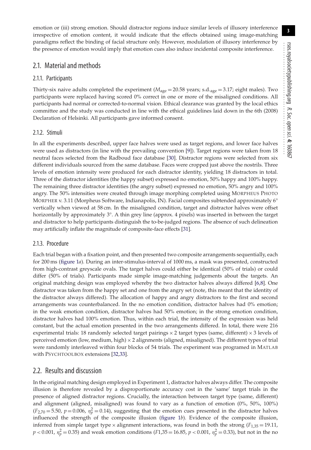emotion or (iii) strong emotion. Should distractor regions induce similar levels of illusory interference irrespective of emotion content, it would indicate that the effects obtained using image-matching paradigms reflect the binding of facial structure only. However, modulation of illusory interference by the presence of emotion would imply that emotion cues also induce incidental composite interference.

## 2.1. Material and methods

#### 2.1.1. Participants

Thirty-six naive adults completed the experiment ( $M_{\text{age}} = 20.58$  years; s.d.<sub>age</sub> = 3.17; eight males). Two participants were replaced having scored 0% correct in one or more of the misaligned conditions. All participants had normal or corrected-to-normal vision. Ethical clearance was granted by the local ethics committee and the study was conducted in line with the ethical guidelines laid down in the 6th (2008) Declaration of Helsinki. All participants gave informed consent.

#### 2.1.2. Stimuli

In all the experiments described, upper face halves were used as target regions, and lower face halves were used as distractors (in line with the prevailing convention [\[9\]](#page-12-5)). Target regions were taken from 18 neutral faces selected from the Radboud face database [\[30\]](#page-13-4). Distractor regions were selected from six different individuals sourced from the same database. Faces were cropped just above the nostrils. Three levels of emotion intensity were produced for each distractor identity, yielding 18 distractors in total. Three of the distractor identities (the happy subset) expressed no emotion, 50% happy and 100% happy. The remaining three distractor identities (the angry subset) expressed no emotion, 50% angry and 100% angry. The 50% intensities were created through image morphing completed using MORPHEUS PHOTO MORPHER v. 3.11 (Morpheus Software, Indianapolis, IN). Facial composites subtended approximately 6° vertically when viewed at 58 cm. In the misaligned condition, target and distractor halves were offset horizontally by approximately 3°. A thin grey line (approx. 4 pixels) was inserted in between the target and distractor to help participants distinguish the to-be-judged regions. The absence of such delineation may artificially inflate the magnitude of composite-face effects [\[31\]](#page-13-5).

#### 2.1.3. Procedure

Each trial began with a fixation point, and then presented two composite arrangements sequentially, each for 200 ms [\(figure 1](#page-4-0)*a*). During an inter-stimulus-interval of 1000 ms, a mask was presented, constructed from high-contrast greyscale ovals. The target halves could either be identical (50% of trials) or could differ (50% of trials). Participants made simple image-matching judgements about the targets. An original matching design was employed whereby the two distractor halves always differed [\[6](#page-12-15)[,8\]](#page-12-4). One distractor was taken from the happy set and one from the angry set (note, this meant that the identity of the distractor always differed). The allocation of happy and angry distractors to the first and second arrangements was counterbalanced. In the no emotion condition, distractor halves had 0% emotion; in the weak emotion condition, distractor halves had 50% emotion; in the strong emotion condition, distractor halves had 100% emotion. Thus, within each trial, the intensity of the expression was held constant, but the actual emotion presented in the two arrangements differed. In total, there were 216 experimental trials: 18 randomly selected target pairings  $\times$  2 target types (same, different)  $\times$  3 levels of perceived emotion (low, medium, high)  $\times$  2 alignments (aligned, misaligned). The different types of trial were randomly interleaved within four blocks of 54 trials. The experiment was programed in MATLAB with PSYCHTOOLBOX extensions [\[32,](#page-13-6)[33\]](#page-13-7).

### 2.2. Results and discussion

In the original matching design employed in Experiment 1, distractor halves always differ. The composite illusion is therefore revealed by a disproportionate accuracy cost in the 'same' target trials in the presence of aligned distractor regions. Crucially, the interaction between target type (same, different) and alignment (aligned, misaligned) was found to vary as a function of emotion (0%, 50%, 100%)  $(F_{2,70} = 5.50, p = 0.006, \eta_p^2 = 0.14)$ , suggesting that the emotion cues presented in the distractor halves influenced the strength of the composite illusion [\(figure 1](#page-4-0)*b*). Evidence of the composite illusion, inferred from simple target type  $\times$  alignment interactions, was found in both the strong ( $F_{1,35} = 19.11$ , *p* < 0.001,  $\eta_p^2 =$  0.35) and weak emotion conditions (*F*1,35 = 16.85, *p* < 0.001,  $\eta_p^2 =$  0.33), but not in the no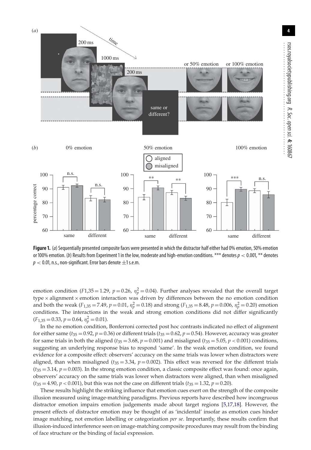

<span id="page-4-0"></span>**Figure 1.** (*a*) Sequentially presented composite faces were presented in which the distractor half either had 0% emotion, 50% emotion or 100% emotion. (*b*) Results from Experiment 1 in the low, moderate and high-emotion conditions. \*\*\* denotes*p* < 0.001, \*\* denotes  $p < 0.01$ , n.s., non-significant. Error bars denote  $\pm 1$  s.e.m.

emotion condition (*F*1,35 = 1.29,  $p = 0.26$ ,  $\eta_p^2 = 0.04$ ). Further analyses revealed that the overall target type × alignment × emotion interaction was driven by differences between the no emotion condition and both the weak ( $F_{1,35} = 7.49$ ,  $p = 0.01$ ,  $\eta_p^2 = 0.18$ ) and strong ( $F_{1,35} = 8.48$ ,  $p = 0.006$ ,  $\eta_p^2 = 0.20$ ) emotion conditions. The interactions in the weak and strong emotion conditions did not differ significantly  $(F_{1,35} = 0.33, p = 0.64, \eta_p^2 = 0.01).$ 

In the no emotion condition, Bonferroni corrected post hoc contrasts indicated no effect of alignment for either same ( $t_{35} = 0.92$ ,  $p = 0.36$ ) or different trials ( $t_{35} = 0.62$ ,  $p = 0.54$ ). However, accuracy was greater for same trials in both the aligned ( $t_{35} = 3.68$ ,  $p = 0.001$ ) and misaligned ( $t_{35} = 5.05$ ,  $p < 0.001$ ) conditions, suggesting an underlying response bias to respond 'same'. In the weak emotion condition, we found evidence for a composite effect: observers' accuracy on the same trials was lower when distractors were aligned, than when misaligned ( $t_{35} = 3.34$ ,  $p = 0.002$ ). This effect was reversed for the different trials  $(t_{35} = 3.14, p = 0.003)$ . In the strong emotion condition, a classic composite effect was found: once again, observers' accuracy on the same trials was lower when distractors were aligned, than when misaligned  $(t_{35} = 4.90, p < 0.001)$ , but this was not the case on different trials  $(t_{35} = 1.32, p = 0.20)$ .

These results highlight the striking influence that emotion cues exert on the strength of the composite illusion measured using image-matching paradigms. Previous reports have described how incongruous distractor emotion impairs emotion judgements made about target regions [\[5,](#page-12-2)[17,](#page-12-13)[18\]](#page-12-14). However, the present effects of distractor emotion may be thought of as 'incidental' insofar as emotion cues hinder image matching, not emotion labelling or categorization *per se*. Importantly, these results confirm that illusion-induced interference seen on image-matching composite procedures may result from the binding of face structure or the binding of facial expression.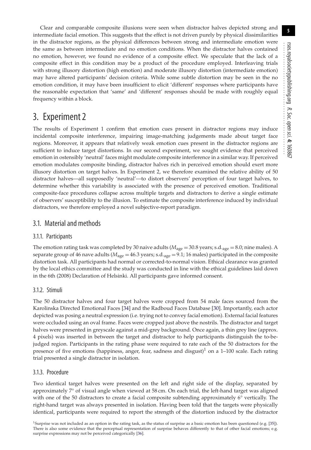Clear and comparable composite illusions were seen when distractor halves depicted strong and intermediate facial emotion. This suggests that the effect is not driven purely by physical dissimilarities in the distractor regions, as the physical differences between strong and intermediate emotion were the same as between intermediate and no emotion conditions. When the distractor halves contained no emotion, however, we found no evidence of a composite effect. We speculate that the lack of a composite effect in this condition may be a product of the procedure employed. Interleaving trials with strong illusory distortion (high emotion) and moderate illusory distortion (intermediate emotion) may have altered participants' decision criteria. While some subtle distortion may be seen in the no emotion condition, it may have been insufficient to elicit 'different' responses where participants have the reasonable expectation that 'same' and 'different' responses should be made with roughly equal frequency within a block.

# 3. Experiment 2

The results of Experiment 1 confirm that emotion cues present in distractor regions may induce incidental composite interference, impairing image-matching judgements made about target face regions. Moreover, it appears that relatively weak emotion cues present in the distractor regions are sufficient to induce target distortions. In our second experiment, we sought evidence that perceived emotion in ostensibly 'neutral' faces might modulate composite interference in a similar way. If perceived emotion modulates composite binding, distractor halves rich in perceived emotion should exert more illusory distortion on target halves. In Experiment 2, we therefore examined the relative ability of 50 distractor halves—all supposedly 'neutral'—to distort observers' perception of four target halves, to determine whether this variability is associated with the presence of perceived emotion. Traditional composite-face procedures collapse across multiple targets and distractors to derive a single estimate of observers' susceptibility to the illusion. To estimate the composite interference induced by individual distractors, we therefore employed a novel subjective-report paradigm.

## 3.1. Material and methods

## 3.1.1. Participants

The emotion rating task was completed by 30 naive adults ( $M_{\text{age}} = 30.8$  years; s.d.<sub>age</sub> = 8.0; nine males). A separate group of 46 nave adults ( $M_{\text{age}} = 46.3$  years; s.d.<sub>age</sub> = 9.1; 16 males) participated in the composite distortion task. All participants had normal or corrected-to-normal vision. Ethical clearance was granted by the local ethics committee and the study was conducted in line with the ethical guidelines laid down in the 6th (2008) Declaration of Helsinki. All participants gave informed consent.

## 3.1.2. Stimuli

The 50 distractor halves and four target halves were cropped from 54 male faces sourced from the Karolinska Directed Emotional Faces [\[34\]](#page-13-8) and the Radboud Faces Database [\[30\]](#page-13-4). Importantly, each actor depicted was posing a neutral expression (i.e. trying not to convey facial emotion). External facial features were occluded using an oval frame. Faces were cropped just above the nostrils. The distractor and target halves were presented in greyscale against a mid-grey background. Once again, a thin grey line (approx. 4 pixels) was inserted in between the target and distractor to help participants distinguish the to-bejudged region. Participants in the rating phase were required to rate each of the 50 distractors for the presence of five emotions (happiness, anger, fear, sadness and disgust)<sup>1</sup> on a 1–100 scale. Each rating trial presented a single distractor in isolation.

### 3.1.3. Procedure

Two identical target halves were presented on the left and right side of the display, separated by approximately 7° of visual angle when viewed at 58 cm. On each trial, the left-hand target was aligned with one of the 50 distractors to create a facial composite subtending approximately 6° vertically. The right-hand target was always presented in isolation. Having been told that the targets were physically identical, participants were required to report the strength of the distortion induced by the distractor

<sup>1</sup>Surprise was not included as an option in the rating task, as the status of surprise as a basic emotion has been questioned (e.g. [\[35\]](#page-13-9)). There is also some evidence that the perceptual representation of surprise behaves differently to that of other facial emotions; e.g. surprise expressions may not be perceived categorically [\[36\]](#page-13-10).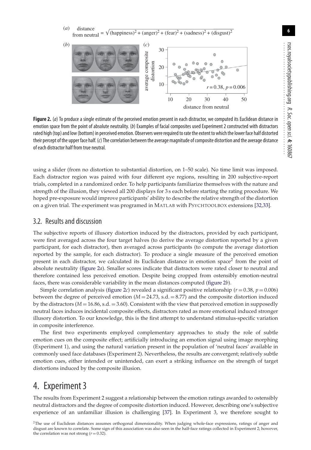**6**

distance from neutral (*a*)  $\sqrt{\frac{h_{\text{appiness}}^2 + (a_{\text{nger}})^2 + (f_{\text{ear}})^2 + (s_{\text{adness}})^2 + (d_{\text{isgust}})^2}}$ 



<span id="page-6-0"></span>**Figure 2.** (*a*) To produce a single estimate of the perceived emotion present in each distractor, we computed its Euclidean distance in emotion space from the point of absolute neutrality. (*b*) Examples of facial composites used Experiment 2 constructed with distractors rated high (top) and low (bottom) in perceived emotion. Observers were required to rate the extent to which the lower face half distorted their percept of the upper face half. (*c*) The correlation between the average magnitude of composite distortion and the average distance of each distractor half from true neutral.

using a slider (from no distortion to substantial distortion, on 1–50 scale). No time limit was imposed. Each distractor region was paired with four different eye regions, resulting in 200 subjective-report trials, completed in a randomized order. To help participants familiarize themselves with the nature and strength of the illusion, they viewed all 200 displays for 3 s each before starting the rating procedure. We hoped pre-exposure would improve participants' ability to describe the relative strength of the distortion on a given trial. The experiment was programed in MATLAB with PSYCHTOOLBOX extensions [\[32](#page-13-6)[,33\]](#page-13-7).

## 3.2. Results and discussion

The subjective reports of illusory distortion induced by the distractors, provided by each participant, were first averaged across the four target halves (to derive the average distortion reported by a given participant, for each distractor), then averaged across participants (to compute the average distortion reported by the sample, for each distractor). To produce a single measure of the perceived emotion present in each distractor, we calculated its Euclidean distance in emotion space<sup>2</sup> from the point of absolute neutrality [\(figure 2](#page-6-0)*a*). Smaller scores indicate that distractors were rated closer to neutral and therefore contained less perceived emotion. Despite being cropped from ostensibly emotion-neutral faces, there was considerable variability in the mean distances computed [\(figure 2](#page-6-0)*b*).

Simple correlation analysis [\(figure 2](#page-6-0)*c*) revealed a significant positive relationship ( $r = 0.38$ ,  $p = 0.006$ ) between the degree of perceived emotion  $(M = 24.73, s.d. = 8.77)$  and the composite distortion induced by the distractors  $(M = 16.86, s.d. = 3.60)$ . Consistent with the view that perceived emotion in supposedly neutral faces induces incidental composite effects, distractors rated as more emotional induced stronger illusory distortion. To our knowledge, this is the first attempt to understand stimulus-specific variation in composite interference.

The first two experiments employed complementary approaches to study the role of subtle emotion cues on the composite effect; artificially introducing an emotion signal using image morphing (Experiment 1), and using the natural variation present in the population of 'neutral faces' available in commonly used face databases (Experiment 2). Nevertheless, the results are convergent; relatively subtle emotion cues, either intended or unintended, can exert a striking influence on the strength of target distortions induced by the composite illusion.

# 4. Experiment 3

The results from Experiment 2 suggest a relationship between the emotion ratings awarded to ostensibly neutral distractors and the degree of composite distortion induced. However, describing one's subjective experience of an unfamiliar illusion is challenging [\[37\]](#page-13-11). In Experiment 3, we therefore sought to

2The use of Euclidean distances assumes orthogonal dimensionality. When judging whole-face expressions, ratings of anger and disgust are known to correlate. Some sign of this association was also seen in the half-face ratings collected in Experiment 2; however, the correlation was not strong  $(r = 0.32)$ .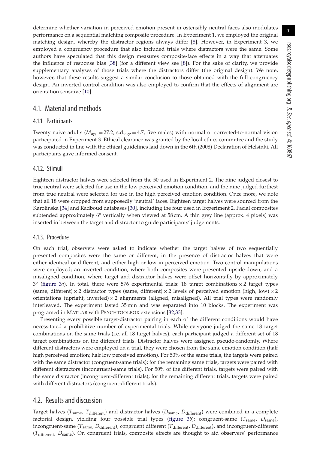determine whether variation in perceived emotion present in ostensibly neutral faces also modulates performance on a sequential matching composite procedure. In Experiment 1, we employed the original matching design, whereby the distractor regions always differ [\[8\]](#page-12-4). However, in Experiment 3, we employed a congruency procedure that also included trials where distractors were the same. Some authors have speculated that this design measures composite-face effects in a way that attenuates the influence of response bias [\[38\]](#page-13-12) (for a different view see [\[8\]](#page-12-4)). For the sake of clarity, we provide supplementary analyses of those trials where the distractors differ (the original design). We note, however, that these results suggest a similar conclusion to those obtained with the full congruency design. An inverted control condition was also employed to confirm that the effects of alignment are orientation sensitive [\[10\]](#page-12-6).

## 4.1. Material and methods

#### 4.1.1. Participants

Twenty naive adults ( $M_{\text{age}} = 27.2$ ; s.d.<sub>age</sub> = 4.7; five males) with normal or corrected-to-normal vision participated in Experiment 3. Ethical clearance was granted by the local ethics committee and the study was conducted in line with the ethical guidelines laid down in the 6th (2008) Declaration of Helsinki. All participants gave informed consent.

#### 4.1.2. Stimuli

Eighteen distractor halves were selected from the 50 used in Experiment 2. The nine judged closest to true neutral were selected for use in the low perceived emotion condition, and the nine judged furthest from true neutral were selected for use in the high perceived emotion condition. Once more, we note that all 18 were cropped from supposedly 'neutral' faces. Eighteen target halves were sourced from the Karolinska [\[34\]](#page-13-8) and Radboud databases [\[30\]](#page-13-4), including the four used in Experiment 2. Facial composites subtended approximately 6° vertically when viewed at 58 cm. A thin grey line (approx. 4 pixels) was inserted in between the target and distractor to guide participants' judgements.

#### 4.1.3. Procedure

On each trial, observers were asked to indicate whether the target halves of two sequentially presented composites were the same or different, in the presence of distractor halves that were either identical or different, and either high or low in perceived emotion. Two control manipulations were employed; an inverted condition, where both composites were presented upside-down, and a misaligned condition, where target and distractor halves were offset horizontally by approximately  $3^\circ$  [\(figure 3](#page-8-0)*a*). In total, there were 576 experimental trials: 18 target combinations  $\times$  2 target types (same, different) × 2 distractor types (same, different) × 2 levels of perceived emotion (high, low) × 2 orientations (upright, inverted)  $\times$  2 alignments (aligned, misaligned). All trial types were randomly interleaved. The experiment lasted 35 min and was separated into 10 blocks. The experiment was programed in MATLAB with PSYCHTOOLBOX extensions [\[32](#page-13-6)[,33\]](#page-13-7).

Presenting every possible target-distractor pairing in each of the different conditions would have necessitated a prohibitive number of experimental trials. While everyone judged the same 18 target combinations on the same trials (i.e. all 18 target halves), each participant judged a different set of 18 target combinations on the different trials. Distractor halves were assigned pseudo-randomly. Where different distractors were employed on a trial, they were chosen from the same emotion condition (half high perceived emotion; half low perceived emotion). For 50% of the same trials, the targets were paired with the same distractor (congruent-same trials); for the remaining same trials, targets were paired with different distractors (incongruent-same trials). For 50% of the different trials, targets were paired with the same distractor (incongruent-different trials); for the remaining different trials, targets were paired with different distractors (congruent-different trials).

### 4.2. Results and discussion

Target halves (*T<sub>same</sub>, T<sub>different</sub>*) and distractor halves ( $D_{\text{same}}$ ,  $D_{\text{different}}$ ) were combined in a complete factorial design, yielding four possible trial types [\(figure 3](#page-8-0)*b*): congruent-same (*T*same, *D*same), incongruent-same (*T*same, *D*different), congruent different (*T*different, *D*different), and incongruent-different (*T*different, *D*same). On congruent trials, composite effects are thought to aid observers' performance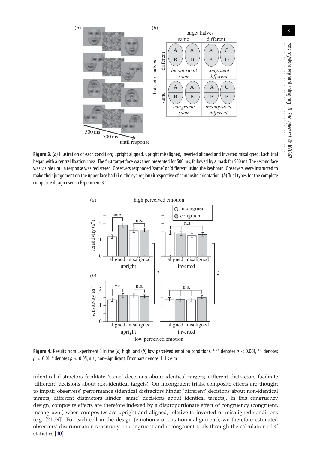

<span id="page-8-0"></span>**Figure 3.** (*a*) Illustration of each condition; upright aligned, upright misaligned, inverted aligned and inverted misaligned. Each trial began with a central fixation cross. The first target face was then presented for 500 ms, followed by a mask for 500 ms. The second face was visible until a response was registered. Observers responded 'same' or 'different' using the keyboard. Observers were instructed to make their judgement on the upper face half (i.e. the eye region) irrespective of composite orientation. (*b*) Trial types for the complete composite design used in Experiment 3.



<span id="page-8-1"></span>**Figure 4.** Results from Experiment 3 in the (*a*) high, and (*b*) low perceived emotion conditions. \*\*\* denotes  $p < 0.001$ , \*\* denotes  $p < 0.01$ ,  $*$  denotes  $p < 0.05$ , n.s., non-significant. Error bars denote  $\pm$  1 s.e.m.

(identical distractors facilitate 'same' decisions about identical targets; different distractors facilitate 'different' decisions about non-identical targets). On incongruent trials, composite effects are thought to impair observers' performance (identical distractors hinder 'different' decisions about non-identical targets; different distractors hinder 'same' decisions about identical targets). In this congruency design, composite effects are therefore indexed by a disproportionate effect of congruency (congruent, incongruent) when composites are upright and aligned, relative to inverted or misaligned conditions (e.g. [\[21](#page-12-20)[,39\]](#page-13-13)). For each cell in the design (emotion  $\times$  orientation  $\times$  alignment), we therefore estimated observers' discrimination sensitivity on congruent and incongruent trials through the calculation of *d'* statistics [\[40\]](#page-13-14).

**8**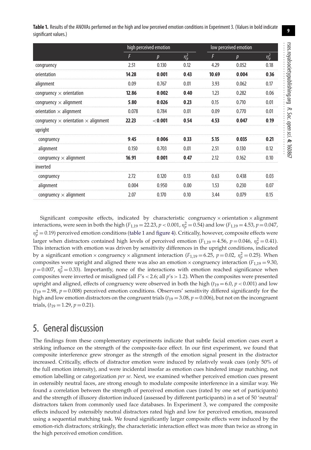**9**

<span id="page-9-0"></span>

| Table 1. Results of the ANOVAs performed on the high and low perceived emotion conditions in Experiment 3. (Values in bold indicate |
|-------------------------------------------------------------------------------------------------------------------------------------|
| significant values.)                                                                                                                |

|                                                    | high perceived emotion |                  |            | low perceived emotion |                  |            |
|----------------------------------------------------|------------------------|------------------|------------|-----------------------|------------------|------------|
|                                                    | F                      | $\boldsymbol{p}$ | $\eta_p^2$ | F                     | $\boldsymbol{p}$ | $\eta_p^2$ |
| congruency                                         | 2.51                   | 0.130            | 0.12       | 4.29                  | 0.052            | 0.18       |
| orientation                                        | 14.28                  | 0.001            | 0.43       | 10.69                 | 0.004            | 0.36       |
| alignment                                          | 0.09                   | 0.767            | 0.01       | 3.93                  | 0.062            | 0.17       |
| congruency $\times$ orientation                    | 12.86                  | 0.002            | 0.40       | 1.23                  | 0.282            | 0.06       |
| congruency $\times$ alignment                      | 5.80                   | 0.026            | 0.23       | 0.15                  | 0.710            | 0.01       |
| orientation $\times$ alignment                     | 0.078                  | 0.784            | 0.01       | 0.09                  | 0.770            | 0.01       |
| congruency $\times$ orientation $\times$ alignment | 22.23                  | < 0.001          | 0.54       | 4.53                  | 0.047            | 0.19       |
| upright                                            |                        |                  |            |                       |                  |            |
| congruency                                         | 9.45                   | 0.006            | 0.33       | 5.15                  | 0.035            | 0.21       |
| alignment                                          | 0.150                  | 0.703            | 0.01       | 2.51                  | 0.130            | 0.12       |
| congruency $\times$ alignment                      | 16.91                  | 0.001            | 0.47       | 2.12                  | 0.162            | 0.10       |
| inverted                                           |                        |                  |            |                       |                  |            |
| congruency                                         | 2.72                   | 0.120            | 0.13       | 0.63                  | 0.438            | 0.03       |
| alignment                                          | 0.004                  | 0.950            | 0.00       | 1.53                  | 0.230            | 0.07       |
| congruency $\times$ alignment                      | 2.07                   | 0.170            | 0.10       | 3.44                  | 0.079            | 0.15       |

Significant composite effects, indicated by characteristic congruency  $\times$  orientation  $\times$  alignment interactions, were seen in both the high ( $F_{1,19} = 22.23$ ,  $p < 0.001$ ,  $n_p^2 = 0.54$ ) and low ( $F_{1,19} = 4.53$ ,  $p = 0.047$ ,  $\eta_p^2$  = 0.19) perceived emotion conditions [\(table 1](#page-9-0) and [figure 4\)](#page-8-1). Critically, however, composite effects were larger when distractors contained high levels of perceived emotion ( $F_{1,19} = 4.56$ ,  $p = 0.046$ ,  $\eta_p^2 = 0.41$ ). This interaction with emotion was driven by sensitivity differences in the upright conditions, indicated by a significant emotion  $\times$  congruency  $\times$  alignment interaction ( $F_{1,19} = 6.25$ ,  $p = 0.02$ ,  $\eta_p^2 = 0.25$ ). When composites were upright and aligned there was also an emotion  $\times$  congruency interaction ( $F_{1,19} = 9.30$ ,  $p = 0.007$ ,  $\eta_p^2 = 0.33$ ). Importantly, none of the interactions with emotion reached significance when composites were inverted or misaligned (all *F*'s < 2.6; all *p*'s > 1.2). When the composites were presented upright and aligned, effects of congruency were observed in both the high ( $t_{19} = 6.0$ ,  $p < 0.001$ ) and low  $(t_{19} = 2.98, p = 0.008)$  perceived emotion conditions. Observers' sensitivity differed significantly for the high and low emotion distractors on the congruent trials  $(t_{19} = 3.08, p = 0.006)$ , but not on the incongruent trials,  $(t_{19} = 1.29, p = 0.21)$ .

# 5. General discussion

The findings from these complementary experiments indicate that subtle facial emotion cues exert a striking influence on the strength of the composite-face effect. In our first experiment, we found that composite interference grew stronger as the strength of the emotion signal present in the distractor increased. Critically, effects of distractor emotion were induced by relatively weak cues (only 50% of the full emotion intensity), and were incidental insofar as emotion cues hindered image matching, not emotion labelling or categorization *per se*. Next, we examined whether perceived emotion cues present in ostensibly neutral faces, are strong enough to modulate composite interference in a similar way. We found a correlation between the strength of perceived emotion cues (rated by one set of participants) and the strength of illusory distortion induced (assessed by different participants) in a set of 50 'neutral' distractors taken from commonly used face databases. In Experiment 3, we compared the composite effects induced by ostensibly neutral distractors rated high and low for perceived emotion, measured using a sequential matching task. We found significantly larger composite effects were induced by the emotion-rich distractors; strikingly, the characteristic interaction effect was more than twice as strong in the high perceived emotion condition.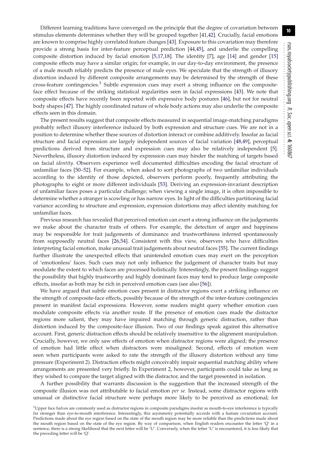Different learning traditions have converged on the principle that the degree of covariation between stimulus elements determines whether they will be grouped together [\[41](#page-13-15)[,42\]](#page-13-16). Crucially, facial emotions are known to comprise highly correlated feature changes [\[43\]](#page-13-17). Exposure to this covariation may therefore provide a strong basis for inter-feature perceptual prediction [\[44](#page-13-18)[,45\]](#page-13-19), and underlie the compelling composite distortion induced by facial emotion [\[5,](#page-12-2)[17](#page-12-13)[,18\]](#page-12-14). The identity [\[7\]](#page-12-3), age [\[14\]](#page-12-10) and gender [\[15\]](#page-12-11) composite effects may have a similar origin; for example, in our day-to-day environment, the presence of a male mouth reliably predicts the presence of male eyes. We speculate that the strength of illusory distortion induced by different composite arrangements may be determined by the strength of these cross-feature contingencies.3 Subtle expression cues may exert a strong influence on the compositeface effect because of the striking statistical regularities seen in facial expressions [\[43\]](#page-13-17). We note that composite effects have recently been reported with expressive body postures [\[46\]](#page-13-20), but not for neutral body shapes [\[47\]](#page-13-21). The highly coordinated nature of whole body actions may also underlie the composite effects seen in this domain.

The present results suggest that composite effects measured in sequential image-matching paradigms probably reflect illusory interference induced by both expression and structure cues. We are not in a position to determine whether these sources of distortion interact or combine additively. Insofar as facial structure and facial expression are largely independent sources of facial variation [\[48,](#page-13-22)[49\]](#page-13-23), perceptual predictions derived from structure and expression cues may also be relatively independent [\[5\]](#page-12-2). Nevertheless, illusory distortion induced by expression cues may hinder the matching of targets based on facial *identity*. Observers experience well documented difficulties encoding the facial structure of unfamiliar faces [\[50](#page-13-24)[–52\]](#page-13-25). For example, when asked to sort photographs of two unfamiliar individuals according to the identity of those depicted, observers perform poorly, frequently attributing the photographs to eight or more different individuals [\[53\]](#page-13-26). Deriving an expression-invariant description of unfamiliar faces poses a particular challenge; when viewing a single image, it is often impossible to determine whether a stranger is scowling or has narrow eyes. In light of the difficulties partitioning facial variance according to structure and expression, expression distortions may affect identity matching for unfamiliar faces.

Previous research has revealed that perceived emotion can exert a strong influence on the judgements we make about the character traits of others. For example, the detection of anger and happiness may be responsible for trait judgements of dominance and trustworthiness inferred spontaneously from supposedly neutral faces [\[26](#page-13-0)[,54\]](#page-13-27). Consistent with this view, observers who have difficulties interpreting facial emotion, make unusual trait judgements about neutral faces [\[55\]](#page-13-28). The current findings further illustrate the unexpected effects that unintended emotion cues may exert on the perception of 'emotionless' faces. Such cues may not only influence the judgement of character traits but may modulate the extent to which faces are processed holistically. Interestingly, the present findings suggest the possibility that highly trustworthy and highly dominant faces may tend to produce large composite effects, insofar as both may be rich in perceived emotion cues (see also [\[56\]](#page-13-29)).

We have argued that subtle emotion cues present in distractor regions exert a striking influence on the strength of composite-face effects, possibly because of the strength of the inter-feature contingencies present in manifest facial expressions. However, some readers might query whether emotion cues modulate composite effects via another route. If the presence of emotion cues made the distractor regions more salient, they may have impaired matching through generic distraction, rather than distortion induced by the composite-face illusion. Two of our findings speak against this alternative account. First, generic distraction effects should be relatively insensitive to the alignment manipulation. Crucially, however, we only saw effects of emotion when distractor regions were aligned; the presence of emotion had little effect when distractors were misaligned. Second, effects of emotion were seen when participants were asked to rate the strength of the illusory distortion without any time pressure (Experiment 2). Distraction effects might conceivably impair sequential matching ability where arrangements are presented very briefly. In Experiment 2, however, participants could take as long as they wished to compare the target aligned with the distractor, and the target presented in isolation.

A further possibility that warrants discussion is the suggestion that the increased strength of the composite illusion was not attributable to facial emotion *per se*. Instead, some distractor regions with unusual or distinctive facial structure were perhaps more likely to be perceived as emotional; for

 $3$ Upper face halves are commonly used as distractor regions in composite paradigms insofar as mouth-to-eye interference is typically far stronger than eye-to-mouth interference. Interestingly, this asymmetry potentially accords with a feature covariation account. Predictions made about the eye region based on the state of the mouth region may be more reliable than the predictions made about the mouth region based on the state of the eye region. By way of comparison, when English readers encounter the letter 'Q' in a sentence, there is a strong likelihood that the next letter will be 'U'. Conversely, when the letter 'U' is encountered, it is less likely that the preceding letter will be 'Q'.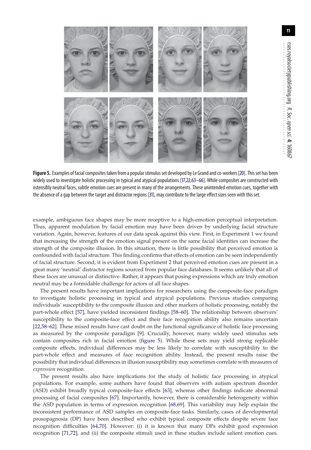

<span id="page-11-0"></span>Figure 5. Examples of facial composites taken from a popular stimulus set developed by Le Grand and co-workers [\[20\]](#page-12-21). This set has been widely used to investigate holistic processing in typical and atypical populations [\[17,](#page-12-13)[22,](#page-12-17)[63–](#page-13-30)[66\]](#page-13-31). While composites are constructed with ostensibly neutral faces, subtle emotion cues are present in many of the arrangements. These unintended emotion cues, together with the absence of a gap between the target and distractor regions [\[31\]](#page-13-5), may contribute to the large effect sizes seen with this set.

example, ambiguous face shapes may be more receptive to a high-emotion perceptual interpretation. Thus, apparent modulation by facial emotion may have been driven by underlying facial structure variation. Again, however, features of our data speak against this view. First, in Experiment 1 we found that increasing the strength of the emotion signal present on the same facial identities can increase the strength of the composite illusion. In this situation, there is little possibility that perceived emotion is confounded with facial structure. This finding confirms that effects of emotion can be seen independently of facial structure. Second, it is evident from Experiment 2 that perceived emotion cues are present in a great many 'neutral' distractor regions sourced from popular face databases. It seems unlikely that all of these faces are unusual or distinctive. Rather, it appears that posing expressions which are truly emotion neutral may be a formidable challenge for actors of all face shapes.

The present results have important implications for researchers using the composite-face paradigm to investigate holistic processing in typical and atypical populations. Previous studies comparing individuals' susceptibility to the composite illusion and other markers of holistic processing, notably the part-whole effect [\[57\]](#page-13-32), have yielded inconsistent findings [\[58](#page-13-33)[–60\]](#page-13-34). The relationship between observers' susceptibility to the composite-face effect and their face recognition ability also remains uncertain [\[22](#page-12-17)[,58–](#page-13-33)[62\]](#page-13-35). These mixed results have cast doubt on the functional significance of holistic face processing as measured by the composite paradigm [\[9\]](#page-12-5). Crucially, however, many widely used stimulus sets contain composites rich in facial emotion [\(figure 5\)](#page-11-0). While these sets may yield strong replicable composite effects, individual differences may be less likely to correlate with susceptibility to the part-whole effect and measures of face recognition ability. Instead, the present results raise the possibility that individual differences in illusion susceptibility may sometimes correlate with measures of *expression* recognition.

The present results also have implications for the study of holistic face processing in atypical populations. For example, some authors have found that observers with autism spectrum disorder (ASD) exhibit broadly typical composite-face effects [\[63\]](#page-13-30), whereas other findings indicate abnormal processing of facial composites [\[67\]](#page-13-36). Importantly, however, there is considerable heterogeneity within the ASD population in terms of expression recognition [\[68](#page-13-37)[,69\]](#page-13-38). This variability may help explain the inconsistent performance of ASD samples on composite-face tasks. Similarly, cases of developmental prosopagnosia (DP) have been described who exhibit typical composite effects despite severe face recognition difficulties [\[64,](#page-13-39)[70\]](#page-13-40). However: (i) it is known that many DPs exhibit good expression recognition [\[71,](#page-13-41)[72\]](#page-13-42), and (ii) the composite stimuli used in these studies include salient emotion cues.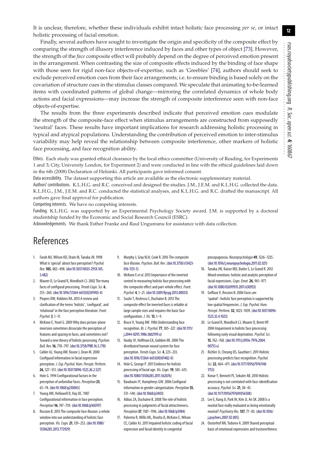**12**

Finally, several authors have sought to investigate the origin and specificity of the composite effect by comparing the strength of illusory interference induced by faces and other types of object [\[73\]](#page-13-43). However, the strength of the *face* composite effect will probably depend on the degree of perceived emotion present in the arrangement. When contrasting the size of composite effects induced by the binding of face shape with those seen for rigid non-face objects-of-expertise, such as 'Greebles' [\[74\]](#page-13-44), authors should seek to exclude perceived emotion cues from their face arrangements; i.e. to ensure binding is based solely on the covariation of structure cues in the stimulus classes compared. We speculate that animating to-be-learned items with coordinated patterns of global change—mirroring the correlated dynamics of whole body actions and facial expressions—may increase the strength of composite interference seen with non-face objects-of-expertise.

The results from the three experiments described indicate that perceived emotion cues modulate the strength of the composite-face effect when stimulus arrangements are constructed from supposedly 'neutral' faces. These results have important implications for research addressing holistic processing in typical and atypical populations. Understanding the contribution of perceived emotion to inter-stimulus variability may help reveal the relationship between composite interference, other markers of holistic face processing, and face recognition ability.

Ethics. Each study was granted ethical clearance by the local ethics committee (University of Reading, for Experiments 1 and 3; City, University London, for Experiment 2) and were conducted in line with the ethical guidelines laid down in the 6th (2008) Declaration of Helsinki. All participants gave informed consent.

Data accessibility. The dataset supporting this article are available as the electronic supplementary material.

Authors' contributions. K.L.H.G. and R.C. conceived and designed the studies. J.M., J.E.M. and K.L.H.G. collected the data. K.L.H.G., J.M., J.E.M. and R.C. conducted the statistical analyses, and K.L.H.G. and R.C. drafted the manuscript. All authors gave final approval for publication.

Competing interests. We have no competing interests.

Funding. K.L.H.G. was supported by an Experimental Psychology Society award. J.M. is supported by a doctoral studentship funded by the Economic and Social Research Council (ESRC).

Acknowledgements. We thank Esther Franke and Raul Ungureanu for assistance with data collection.

# References

- <span id="page-12-0"></span>1. Farah MJ, Wilson KD, Drain M, Tanaka JN. 1998 What is 'special' about face perception?*Psychol. Rev.***105**, 482–498. [\(doi:10.1037/0033-295X.105.](http://dx.doi.org/10.1037/0033-295X.105.3.482) [3.482\)](http://dx.doi.org/10.1037/0033-295X.105.3.482)
- 2. Maurer D, Le Grand R, Mondloch CJ. 2002 The many faces of configural processing.*Trends Cogn. Sci.* **6**, 255–260. [\(doi:10.1016/S1364-6613\(02\)01903-4\)](http://dx.doi.org/10.1016/S1364-6613(02)01903-4)
- 3. Piepers DW, Robbins RA. 2013 A review and clarification of the terms 'holistic', 'configural', and 'relational' in the face perception literature.*Front. Psychol.***3**, 1–11.
- <span id="page-12-1"></span>4. McKone E, Yovel G. 2009 Why does picture-plane inversion sometimes dissociate the perception of features and spacing in faces, and sometimes not? Toward a new theory of holistic processing.*Psychon. Bull. Rev.***16**, 778–797. [\(doi:10.3758/PBR.16.5.778\)](http://dx.doi.org/10.3758/PBR.16.5.778)
- <span id="page-12-2"></span>5. Calder AJ, Young AW, Keane J, Dean M. 2000 Configural information in facial expression perception. *J. Exp. Psychol. Hum. Percept. Perform.* **26**, 527–551. [\(doi:10.1037/0096-1523.26.2.527\)](http://dx.doi.org/10.1037/0096-1523.26.2.527)
- <span id="page-12-15"></span>6. Hole G. 1994 Configurational factors in the perception of unfamiliar faces.*Perception***23**, 65–74. [\(doi:10.1068/p230065\)](http://dx.doi.org/10.1068/p230065)
- <span id="page-12-3"></span>7. Young AW, Hellawell D, Hay DC. 1987 Configurational information in face perception. *Perception***16**, 747–759. [\(doi:10.1068/p160747\)](http://dx.doi.org/10.1068/p160747)
- <span id="page-12-4"></span>8. Rossion B. 2013 The composite face illusion: a whole window into our understanding of holistic face perception. *Vis. Cogn.***21**, 139–253. [\(doi:10.1080/](http://dx.doi.org/10.1080/13506285.2013.772929) [13506285.2013.772929\)](http://dx.doi.org/10.1080/13506285.2013.772929)
- <span id="page-12-5"></span>9. Murphy J, Gray KLH, Cook R. 2016 The composite face illusion.*Psychon. Bull. Rev*. [\(doi:10.3758/s13423-](http://dx.doi.org/10.3758/s13423-016-1131-5) [016-1131-5\)](http://dx.doi.org/10.3758/s13423-016-1131-5)
- <span id="page-12-6"></span>10. McKone E*et al.*2013 Importance of the inverted control in measuring holistic face processing with the composite effect and part-whole effect.*Front. Psychol.* **4**, 1–21. [\(doi:10.3389/fpsyg.2013.00033\)](http://dx.doi.org/10.3389/fpsyg.2013.00033)
- <span id="page-12-7"></span>11. Susilo T, Rezlescu C, Duchaine B. 2013 The composite effect for inverted faces is reliable at large sample sizes and requires the basic face configuration. *J. Vis.***13**, 1–9.
- <span id="page-12-8"></span>12. Bruce V, Young AW. 1986 Understanding face recognition. *Br. J. Psychol.***77**, 305–327. [\(doi:10.1111/](http://dx.doi.org/10.1111/j.2044-8295.1986.tb02199.x) [j.2044-8295.1986.tb02199.x\)](http://dx.doi.org/10.1111/j.2044-8295.1986.tb02199.x)
- <span id="page-12-9"></span>13. Haxby JV, Hoffman EA, Gobbini MI. 2000 The distributed human neural system for face perception.*Trends Cogn. Sci.* **4**, 223–233. [\(doi:10.1016/S1364-6613\(00\)01482-0\)](http://dx.doi.org/10.1016/S1364-6613(00)01482-0)
- <span id="page-12-10"></span>14. Hole G, George P. 2011 Evidence for holistic processing of facial age. *Vis. Cogn.***19**, 585–615. [\(doi:10.1080/13506285.2011.562076\)](http://dx.doi.org/10.1080/13506285.2011.562076)
- <span id="page-12-11"></span>15. Baudouin JY, Humphreys GW. 2006 Configural information in gender categorisation.*Perception***35**, 531–540. [\(doi:10.1068/p3403\)](http://dx.doi.org/10.1068/p3403)
- <span id="page-12-12"></span>16. Abbas ZA, Duchaine B. 2008 The role of holistic processing in judgments of facial attractiveness. *Perception***37**, 1187–1196. [\(doi:10.1068/p5984\)](http://dx.doi.org/10.1068/p5984)
- <span id="page-12-13"></span>17. Palermo R, Willis ML, Rivolta D, McKone E, Wilson CE, Calder AJ. 2011 Impaired holistic coding of facial expression and facial identity in congenital

prosopagnosia. *Neuropsychologia* **49**, 1226–1235. [\(doi:10.1016/j.neuropsychologia.2011.02.021\)](http://dx.doi.org/10.1016/j.neuropsychologia.2011.02.021)

- <span id="page-12-14"></span>18. Tanaka JW, Kaiser MD, Butler S, Le Grand R. 2012 Mixed emotions: holistic and analytic perception of facial expressions.*Cogn. Emot.***26**, 961–977. [\(doi:10.1080/02699931.2011.630933\)](http://dx.doi.org/10.1080/02699931.2011.630933)
- <span id="page-12-16"></span>19. Goffaux V, Rossion B. 2006 Faces are 'spatial'–holistic face perception is supported by low spatial frequencies. *J. Exp. Psychol. Hum. Percept. Perform.***32**, 1023–1039. [\(doi:10.1037/0096-](http://dx.doi.org/10.1037/0096-1523.32.4.1023) [1523.32.4.1023\)](http://dx.doi.org/10.1037/0096-1523.32.4.1023)
- <span id="page-12-21"></span>20. Le Grand R, Mondloch CJ, Maurer D, Brent HP. 2004 Impairment in holistic face processing following early visual deprivation.*Psychol. Sci.* **15**, 762–768. [\(doi:10.1111/j.0956-7976.2004.](http://dx.doi.org/10.1111/j.0956-7976.2004.00753.x) [00753.x\)](http://dx.doi.org/10.1111/j.0956-7976.2004.00753.x)
- <span id="page-12-20"></span>21. Richler JJ, Cheung OS, Gauthier I. 2011 Holistic processing predicts face recognition.*Psychol. Sci.***22**, 464–471. [\(doi:10.1177/095679761140](http://dx.doi.org/10.1177/0956797611401753) [1753\)](http://dx.doi.org/10.1177/0956797611401753)
- <span id="page-12-17"></span>22. Konar Y, Bennett PJ, Sekuler AB. 2010 Holistic processing is not correlated with face-identification accuracy.*Psychol. Sci.***21**, 38–43. [\(doi:10.1177/0956797609356508\)](http://dx.doi.org/10.1177/0956797609356508)
- <span id="page-12-18"></span>23. Lee E, Kang JI, Park IH, Kim JJ, An SK. 2008 Is a neutral face really evaluated as being emotionally neutral?*Psychiatry Res.***157**, 77–85. [\(doi:10.1016/](http://dx.doi.org/10.1016/j.psychres.2007.02.005) [j.psychres.2007.02.005\)](http://dx.doi.org/10.1016/j.psychres.2007.02.005)
- <span id="page-12-19"></span>24. Oosterhof NN, Todorov A. 2009 Shared perceptual basis of emotional expressions and trustworthiness